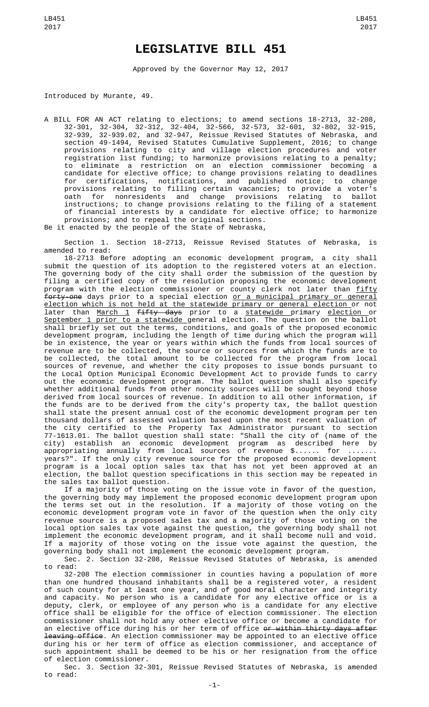## **LEGISLATIVE BILL 451**

Approved by the Governor May 12, 2017

Introduced by Murante, 49.

A BILL FOR AN ACT relating to elections; to amend sections 18-2713, 32-208, 32-301, 32-304, 32-312, 32-404, 32-566, 32-573, 32-601, 32-802, 32-915, 32-939, 32-939.02, and 32-947, Reissue Revised Statutes of Nebraska, and section 49-1494, Revised Statutes Cumulative Supplement, 2016; to change provisions relating to city and village election procedures and voter registration list funding; to harmonize provisions relating to a penalty; to eliminate a restriction on an election commissioner becoming a candidate for elective office; to change provisions relating to deadlines for certifications, notifications, and published notice; to change provisions relating to filling certain vacancies; to provide a voter's oath for nonresidents and change provisions relating to ballot instructions; to change provisions relating to the filing of a statement of financial interests by a candidate for elective office; to harmonize provisions; and to repeal the original sections. Be it enacted by the people of the State of Nebraska,

Section 1. Section 18-2713, Reissue Revised Statutes of Nebraska, is amended to read:

18-2713 Before adopting an economic development program, a city shall submit the question of its adoption to the registered voters at an election. The governing body of the city shall order the submission of the question by filing a certified copy of the resolution proposing the economic development program with the election commissioner or county clerk not later than <u>fifty</u> forty-one days prior to a special election or a municipal primary or general election which is not held at the statewide primary or general election or not later than <u>March 1</u> <del>fifty days</del> prior to a <u>statewide primary election o</u>r September 1 prior to a statewide general election. The question on the ballot shall briefly set out the terms, conditions, and goals of the proposed economic development program, including the length of time during which the program will be in existence, the year or years within which the funds from local sources of revenue are to be collected, the source or sources from which the funds are to be collected, the total amount to be collected for the program from local sources of revenue, and whether the city proposes to issue bonds pursuant to the Local Option Municipal Economic Development Act to provide funds to carry out the economic development program. The ballot question shall also specify whether additional funds from other noncity sources will be sought beyond those derived from local sources of revenue. In addition to all other information, if the funds are to be derived from the city's property tax, the ballot question shall state the present annual cost of the economic development program per ten thousand dollars of assessed valuation based upon the most recent valuation of the city certified to the Property Tax Administrator pursuant to section 77-1613.01. The ballot question shall state: "Shall the city of (name of the city) establish an economic development program as described here by appropriating annually from local sources of revenue \$...... for ....... years?". If the only city revenue source for the proposed economic development program is a local option sales tax that has not yet been approved at an election, the ballot question specifications in this section may be repeated in the sales tax ballot question.

If a majority of those voting on the issue vote in favor of the question, the governing body may implement the proposed economic development program upon the terms set out in the resolution. If a majority of those voting on the economic development program vote in favor of the question when the only city revenue source is a proposed sales tax and a majority of those voting on the local option sales tax vote against the question, the governing body shall not implement the economic development program, and it shall become null and void. If a majority of those voting on the issue vote against the question, the governing body shall not implement the economic development program.

Sec. 2. Section 32-208, Reissue Revised Statutes of Nebraska, is amended to read:

32-208 The election commissioner in counties having a population of more than one hundred thousand inhabitants shall be a registered voter, a resident of such county for at least one year, and of good moral character and integrity and capacity. No person who is a candidate for any elective office or is a deputy, clerk, or employee of any person who is a candidate for any elective office shall be eligible for the office of election commissioner. The election commissioner shall not hold any other elective office or become a candidate for an elective office during his or her term of office <del>or within thirty days after</del> leaving office. An election commissioner may be appointed to an elective office during his or her term of office as election commissioner, and acceptance of such appointment shall be deemed to be his or her resignation from the office of election commissioner.

Sec. 3. Section 32-301, Reissue Revised Statutes of Nebraska, is amended to read: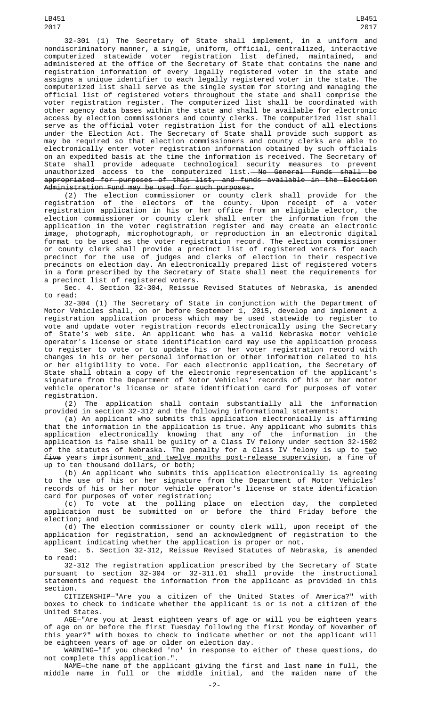32-301 (1) The Secretary of State shall implement, in a uniform and nondiscriminatory manner, a single, uniform, official, centralized, interactive computerized statewide voter registration list defined, maintained, and administered at the office of the Secretary of State that contains the name and registration information of every legally registered voter in the state and assigns a unique identifier to each legally registered voter in the state. The computerized list shall serve as the single system for storing and managing the official list of registered voters throughout the state and shall comprise the voter registration register. The computerized list shall be coordinated with other agency data bases within the state and shall be available for electronic access by election commissioners and county clerks. The computerized list shall serve as the official voter registration list for the conduct of all elections under the Election Act. The Secretary of State shall provide such support as may be required so that election commissioners and county clerks are able to electronically enter voter registration information obtained by such officials on an expedited basis at the time the information is received. The Secretary of State shall provide adequate technological security measures to prevent unauthorized access to the computerized list.<del>—No General Funds shall be</del>

appropriated for purposes of this list, and funds available in the Election Administration Fund may be used for such purposes.

(2) The election commissioner or county clerk shall provide for the registration of the electors of the county. Upon receipt of a voter registration application in his or her office from an eligible elector, the election commissioner or county clerk shall enter the information from the application in the voter registration register and may create an electronic image, photograph, microphotograph, or reproduction in an electronic digital format to be used as the voter registration record. The election commissioner or county clerk shall provide a precinct list of registered voters for each precinct for the use of judges and clerks of election in their respective precincts on election day. An electronically prepared list of registered voters in a form prescribed by the Secretary of State shall meet the requirements for a precinct list of registered voters.

Sec. 4. Section 32-304, Reissue Revised Statutes of Nebraska, is amended to read:

32-304 (1) The Secretary of State in conjunction with the Department of Motor Vehicles shall, on or before September 1, 2015, develop and implement a registration application process which may be used statewide to register to vote and update voter registration records electronically using the Secretary of State's web site. An applicant who has a valid Nebraska motor vehicle operator's license or state identification card may use the application process to register to vote or to update his or her voter registration record with changes in his or her personal information or other information related to his or her eligibility to vote. For each electronic application, the Secretary of State shall obtain a copy of the electronic representation of the applicant's signature from the Department of Motor Vehicles' records of his or her motor vehicle operator's license or state identification card for purposes of voter registration.<br>2) The

application shall contain substantially all the information provided in section 32-312 and the following informational statements:

(a) An applicant who submits this application electronically is affirming that the information in the application is true. Any applicant who submits this application electronically knowing that any of the information in the application is false shall be guilty of a Class IV felony under section 32-1502 of the statutes of Nebraska. The penalty for a Class IV felony is up to <u>two</u> five years imprisonment and twelve months post-release supervision, a fine of up to ten thousand dollars, or both;

(b) An applicant who submits this application electronically is agreeing to the use of his or her signature from the Department of Motor Vehicles' records of his or her motor vehicle operator's license or state identification card for purposes of voter registration;

(c) To vote at the polling place on election day, the completed application must be submitted on or before the third Friday before the election; and

(d) The election commissioner or county clerk will, upon receipt of the application for registration, send an acknowledgment of registration to the applicant indicating whether the application is proper or not.

Sec. 5. Section 32-312, Reissue Revised Statutes of Nebraska, is amended to read:

32-312 The registration application prescribed by the Secretary of State pursuant to section 32-304 or 32-311.01 shall provide the instructional statements and request the information from the applicant as provided in this section.

CITIZENSHIP—"Are you a citizen of the United States of America?" with boxes to check to indicate whether the applicant is or is not a citizen of the United States.

AGE—"Are you at least eighteen years of age or will you be eighteen years of age on or before the first Tuesday following the first Monday of November of this year?" with boxes to check to indicate whether or not the applicant will be eighteen years of age or older on election day.

WARNING—"If you checked 'no' in response to either of these questions, do not complete this application.".

NAME—the name of the applicant giving the first and last name in full, the middle name in full or the middle initial, and the maiden name of the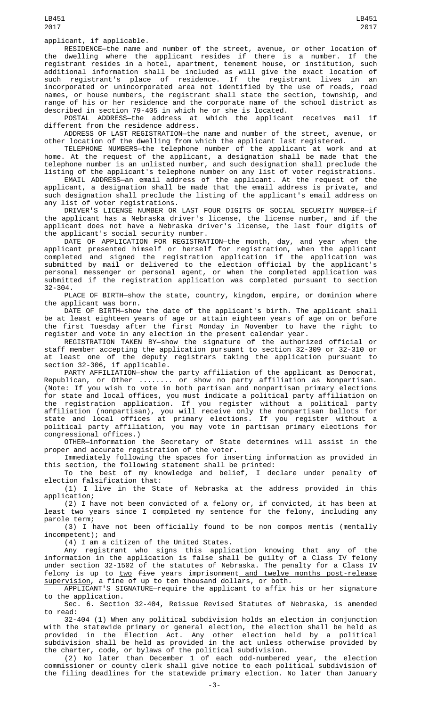applicant, if applicable.

RESIDENCE—the name and number of the street, avenue, or other location of the dwelling where the applicant resides if there is a number. If the registrant resides in a hotel, apartment, tenement house, or institution, such additional information shall be included as will give the exact location of such registrant's place of residence. If the registrant lives in an incorporated or unincorporated area not identified by the use of roads, road names, or house numbers, the registrant shall state the section, township, and range of his or her residence and the corporate name of the school district as described in section 79-405 in which he or she is located.

POSTAL ADDRESS—the address at which the applicant receives mail if different from the residence address.

ADDRESS OF LAST REGISTRATION—the name and number of the street, avenue, or other location of the dwelling from which the applicant last registered.

TELEPHONE NUMBERS—the telephone number of the applicant at work and at home. At the request of the applicant, a designation shall be made that the telephone number is an unlisted number, and such designation shall preclude the listing of the applicant's telephone number on any list of voter registrations.

EMAIL ADDRESS—an email address of the applicant. At the request of the applicant, a designation shall be made that the email address is private, and such designation shall preclude the listing of the applicant's email address on any list of voter registrations.

DRIVER'S LICENSE NUMBER OR LAST FOUR DIGITS OF SOCIAL SECURITY NUMBER—if the applicant has a Nebraska driver's license, the license number, and if the applicant does not have a Nebraska driver's license, the last four digits of the applicant's social security number.

DATE OF APPLICATION FOR REGISTRATION—the month, day, and year when the applicant presented himself or herself for registration, when the applicant completed and signed the registration application if the application was submitted by mail or delivered to the election official by the applicant's personal messenger or personal agent, or when the completed application was submitted if the registration application was completed pursuant to section 32-304.

PLACE OF BIRTH—show the state, country, kingdom, empire, or dominion where the applicant was born.

DATE OF BIRTH—show the date of the applicant's birth. The applicant shall be at least eighteen years of age or attain eighteen years of age on or before the first Tuesday after the first Monday in November to have the right to register and vote in any election in the present calendar year.

REGISTRATION TAKEN BY—show the signature of the authorized official or staff member accepting the application pursuant to section 32-309 or 32-310 or at least one of the deputy registrars taking the application pursuant to section 32-306, if applicable.

PARTY AFFILIATION—show the party affiliation of the applicant as Democrat, Republican, or Other ........ or show no party affiliation as Nonpartisan. (Note: If you wish to vote in both partisan and nonpartisan primary elections for state and local offices, you must indicate a political party affiliation on the registration application. If you register without a political party affiliation (nonpartisan), you will receive only the nonpartisan ballots for state and local offices at primary elections. If you register without a political party affiliation, you may vote in partisan primary elections for congressional offices.)

OTHER—information the Secretary of State determines will assist in the proper and accurate registration of the voter.

Immediately following the spaces for inserting information as provided in this section, the following statement shall be printed:

To the best of my knowledge and belief, I declare under penalty of election falsification that:

(1) I live in the State of Nebraska at the address provided in this application;

(2) I have not been convicted of a felony or, if convicted, it has been at least two years since I completed my sentence for the felony, including any parole term;

(3) I have not been officially found to be non compos mentis (mentally incompetent); and

(4) I am a citizen of the United States.

Any registrant who signs this application knowing that any of the information in the application is false shall be guilty of a Class IV felony under section 32-1502 of the statutes of Nebraska. The penalty for a Class IV felony is up to <u>two</u> f<del>ive</del> years imprisonment<u> and twelve months post-release</u> supervision, a fine of up to ten thousand dollars, or both.

APPLICANT'S SIGNATURE—require the applicant to affix his or her signature to the application.

Sec. 6. Section 32-404, Reissue Revised Statutes of Nebraska, is amended to read:

32-404 (1) When any political subdivision holds an election in conjunction with the statewide primary or general election, the election shall be held as provided in the Election Act. Any other election held by a political subdivision shall be held as provided in the act unless otherwise provided by the charter, code, or bylaws of the political subdivision.

(2) No later than December 1 of each odd-numbered year, the election commissioner or county clerk shall give notice to each political subdivision of the filing deadlines for the statewide primary election. No later than January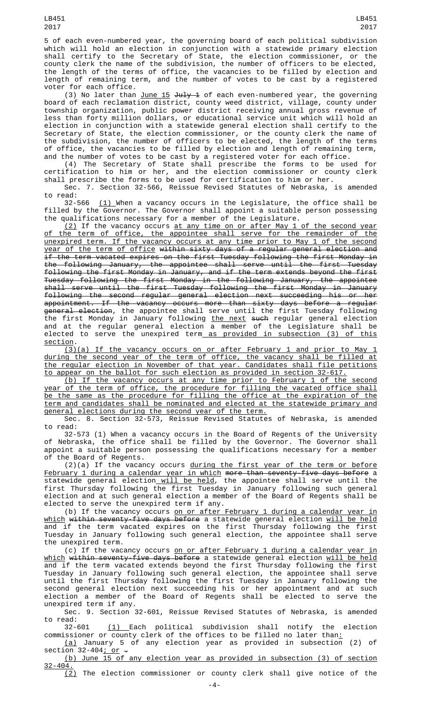5 of each even-numbered year, the governing board of each political subdivision which will hold an election in conjunction with a statewide primary election shall certify to the Secretary of State, the election commissioner, or the county clerk the name of the subdivision, the number of officers to be elected, the length of the terms of office, the vacancies to be filled by election and length of remaining term, and the number of votes to be cast by a registered voter for each office.

(3) No later than <u>June 15</u> <del>July 1</del> of each even-numbered year, the governing board of each reclamation district, county weed district, village, county under township organization, public power district receiving annual gross revenue of less than forty million dollars, or educational service unit which will hold an election in conjunction with a statewide general election shall certify to the Secretary of State, the election commissioner, or the county clerk the name of the subdivision, the number of officers to be elected, the length of the terms of office, the vacancies to be filled by election and length of remaining term, and the number of votes to be cast by a registered voter for each office.

(4) The Secretary of State shall prescribe the forms to be used for certification to him or her, and the election commissioner or county clerk shall prescribe the forms to be used for certification to him or her.

Sec. 7. Section 32-566, Reissue Revised Statutes of Nebraska, is amended to read:

32-566 <u>(1) </u>When a vacancy occurs in the Legislature, the office shall be filled by the Governor. The Governor shall appoint a suitable person possessing the qualifications necessary for a member of the Legislature.

 $(2)$  If the vacancy occurs at any time on or after May 1 of the second year the term of office, the appointee shall serve for the remainder of the unexpired term. If the vacancy occurs at any time prior to May 1 of the second year of the term of office within sixty days of a regular general election and if the term vacated expires on the first Tuesday following the first Monday in the following January, the appointee shall serve until the first Tuesday following the first Monday in January, and if the term extends beyond the first Tuesday following the first Monday in the following January, the appointee shall serve until the first Tuesday following the first Monday in January following the second regular general election next succeeding his or her appointment. If the vacancy occurs more than sixty days before a regular general election, the appointee shall serve until the first Tuesday following the first Monday in January following <u>the next</u> <del>such</del> regular general election and at the regular general election a member of the Legislature shall be elected to serve the unexpired term<u> as provided in subsection (3) of this</u> section.

(3)(a) If the vacancy occurs on or after February 1 and prior to May 1 during the second year of the term of office, the vacancy shall be filled at the regular election in November of that year. Candidates shall file petitions to appear on the ballot for such election as provided in section 32-617.

(b) If the vacancy occurs at any time prior to February 1 of the second year of the term of office, the procedure for filling the vacated office shall be the same as the procedure for filling the office at the expiration of the term and candidates shall be nominated and elected at the statewide primary and general elections during the second year of the term.

Sec. 8. Section 32-573, Reissue Revised Statutes of Nebraska, is amended to read:

32-573 (1) When a vacancy occurs in the Board of Regents of the University of Nebraska, the office shall be filled by the Governor. The Governor shall appoint a suitable person possessing the qualifications necessary for a member of the Board of Regents.

(2)(a) If the vacancy occurs during the first year of the term or before February 1 during a calendar year in which more than seventy-five days before a statewide general election<u> will be held</u>, the appointee shall serve until the first Thursday following the first Tuesday in January following such general election and at such general election a member of the Board of Regents shall be elected to serve the unexpired term if any.

(b) If the vacancy occurs <u>on or after February 1 during a calendar year in</u> <u>which</u> <del>within seventy-five days before</del> a statewide general election <u>will be held</u> and if the term vacated expires on the first Thursday following the first Tuesday in January following such general election, the appointee shall serve the unexpired term.

(c) If the vacancy occurs on or after February 1 during a calendar year in <u>which</u> <del>within seventy-five days before</del> a statewide general election <u>will be held</u> and if the term vacated extends beyond the first Thursday following the first Tuesday in January following such general election, the appointee shall serve until the first Thursday following the first Tuesday in January following the second general election next succeeding his or her appointment and at such election a member of the Board of Regents shall be elected to serve the unexpired term if any.

Sec. 9. Section 32-601, Reissue Revised Statutes of Nebraska, is amended to read:

32-601 <u>(1) E</u>ach political subdivision shall notify the election commissioner or county clerk of the offices to be filled no later than<u>:</u>

(a) January 5 of any election year as provided in subsection (2) of section 32-404<u>; or</u> .

(b) June 15 of any election year as provided in subsection (3) of section 32-404.

(2) The election commissioner or county clerk shall give notice of the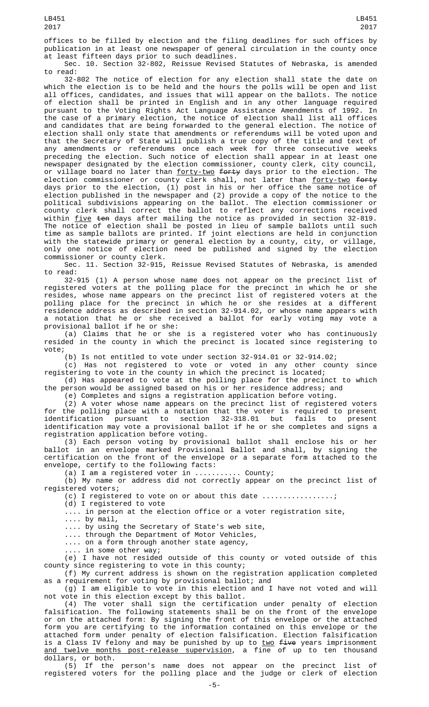offices to be filled by election and the filing deadlines for such offices by publication in at least one newspaper of general circulation in the county once at least fifteen days prior to such deadlines.

Sec. 10. Section 32-802, Reissue Revised Statutes of Nebraska, is amended to read:

32-802 The notice of election for any election shall state the date on which the election is to be held and the hours the polls will be open and list all offices, candidates, and issues that will appear on the ballots. The notice of election shall be printed in English and in any other language required pursuant to the Voting Rights Act Language Assistance Amendments of 1992. In the case of a primary election, the notice of election shall list all offices and candidates that are being forwarded to the general election. The notice of election shall only state that amendments or referendums will be voted upon and that the Secretary of State will publish a true copy of the title and text of any amendments or referendums once each week for three consecutive weeks preceding the election. Such notice of election shall appear in at least one newspaper designated by the election commissioner, county clerk, city council, or village board no later than <u>forty-two</u> <del>forty</del> days prior to the election. The election commissioner or county clerk shall, not later than <u>forty-two</u> <del>forty</del> days prior to the election, (1) post in his or her office the same notice of election published in the newspaper and (2) provide a copy of the notice to the political subdivisions appearing on the ballot. The election commissioner or county clerk shall correct the ballot to reflect any corrections received within <u>five</u> <del>ten</del> days after mailing the notice as provided in section 32-819. The notice of election shall be posted in lieu of sample ballots until such time as sample ballots are printed. If joint elections are held in conjunction with the statewide primary or general election by a county, city, or village, only one notice of election need be published and signed by the election commissioner or county clerk.

Sec. 11. Section 32-915, Reissue Revised Statutes of Nebraska, is amended to read:

32-915 (1) A person whose name does not appear on the precinct list of registered voters at the polling place for the precinct in which he or she resides, whose name appears on the precinct list of registered voters at the polling place for the precinct in which he or she resides at a different residence address as described in section 32-914.02, or whose name appears with a notation that he or she received a ballot for early voting may vote a provisional ballot if he or she:

(a) Claims that he or she is a registered voter who has continuously resided in the county in which the precinct is located since registering to vote;

(b) Is not entitled to vote under section 32-914.01 or 32-914.02;

(c) Has not registered to vote or voted in any other county since registering to vote in the county in which the precinct is located;

(d) Has appeared to vote at the polling place for the precinct to which the person would be assigned based on his or her residence address; and

(e) Completes and signs a registration application before voting.

(2) A voter whose name appears on the precinct list of registered voters for the polling place with a notation that the voter is required to present identification pursuant to section 32-318.01 but fails to present identification may vote a provisional ballot if he or she completes and signs a registration application before voting.

(3) Each person voting by provisional ballot shall enclose his or her ballot in an envelope marked Provisional Ballot and shall, by signing the certification on the front of the envelope or a separate form attached to the envelope, certify to the following facts:

(a) I am a registered voter in ........... County;

(b) My name or address did not correctly appear on the precinct list of registered voters;

(c) I registered to vote on or about this date .................;

(d) I registered to vote

.... in person at the election office or a voter registration site, .... by mail,

.... by using the Secretary of State's web site,

.... through the Department of Motor Vehicles,

.... on a form through another state agency,

.... in some other way;

(e) I have not resided outside of this county or voted outside of this county since registering to vote in this county;

(f) My current address is shown on the registration application completed as a requirement for voting by provisional ballot; and

(g) I am eligible to vote in this election and I have not voted and will not vote in this election except by this ballot.

(4) The voter shall sign the certification under penalty of election falsification. The following statements shall be on the front of the envelope or on the attached form: By signing the front of this envelope or the attached form you are certifying to the information contained on this envelope or the attached form under penalty of election falsification. Election falsification is a Class IV felony and may be punished by up to two five years imprisonment<br>and twelve months post-release supervision, a fine of up to ten thousand and twelve months post-release supervision, a fine of up to ten thousand dollars, or both.

(5) If the person's name does not appear on the precinct list of registered voters for the polling place and the judge or clerk of election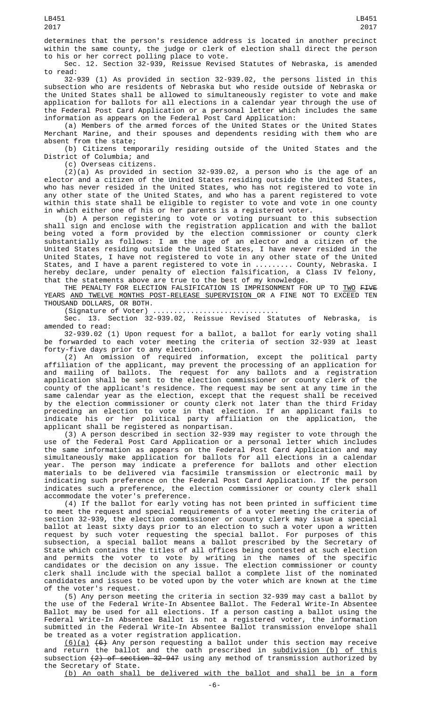determines that the person's residence address is located in another precinct within the same county, the judge or clerk of election shall direct the person to his or her correct polling place to vote.

Sec. 12. Section 32-939, Reissue Revised Statutes of Nebraska, is amended to read:

32-939 (1) As provided in section 32-939.02, the persons listed in this subsection who are residents of Nebraska but who reside outside of Nebraska or the United States shall be allowed to simultaneously register to vote and make application for ballots for all elections in a calendar year through the use of the Federal Post Card Application or a personal letter which includes the same information as appears on the Federal Post Card Application:

(a) Members of the armed forces of the United States or the United States Merchant Marine, and their spouses and dependents residing with them who are absent from the state;

(b) Citizens temporarily residing outside of the United States and the District of Columbia; and

(c) Overseas citizens.

 $(2)(a)$  As provided in section 32-939.02, a person who is the age of an elector and a citizen of the United States residing outside the United States, who has never resided in the United States, who has not registered to vote in any other state of the United States, and who has a parent registered to vote within this state shall be eligible to register to vote and vote in one county in which either one of his or her parents is a registered voter.

(b) A person registering to vote or voting pursuant to this subsection shall sign and enclose with the registration application and with the ballot being voted a form provided by the election commissioner or county clerk substantially as follows: I am the age of an elector and a citizen of the United States residing outside the United States, I have never resided in the United States, I have not registered to vote in any other state of the United States, and I have a parent registered to vote in ......... County, Nebraska. I hereby declare, under penalty of election falsification, a Class IV felony, that the statements above are true to the best of my knowledge.

THE PENALTY FOR ELECTION FALSIFICATION IS IMPRISONMENT FOR UP TO <u>TWO</u> F<del>IVE</del> YEARS AND TWELVE MONTHS POST-RELEASE SUPERVISION OR A FINE NOT TO EXCEED TEN THOUSAND DOLLARS, OR BOTH.

(Signature of Voter) ..............................

Sec. 13. Section 32-939.02, Reissue Revised Statutes of Nebraska, is amended to read:

32-939.02 (1) Upon request for a ballot, a ballot for early voting shall be forwarded to each voter meeting the criteria of section 32-939 at least forty-five days prior to any election.

(2) An omission of required information, except the political party affiliation of the applicant, may prevent the processing of an application for and mailing of ballots. The request for any ballots and a registration application shall be sent to the election commissioner or county clerk of the county of the applicant's residence. The request may be sent at any time in the same calendar year as the election, except that the request shall be received by the election commissioner or county clerk not later than the third Friday preceding an election to vote in that election. If an applicant fails to indicate his or her political party affiliation on the application, the applicant shall be registered as nonpartisan.

(3) A person described in section 32-939 may register to vote through the use of the Federal Post Card Application or a personal letter which includes the same information as appears on the Federal Post Card Application and may simultaneously make application for ballots for all elections in a calendar year. The person may indicate a preference for ballots and other election materials to be delivered via facsimile transmission or electronic mail by indicating such preference on the Federal Post Card Application. If the person indicates such a preference, the election commissioner or county clerk shall accommodate the voter's preference.

(4) If the ballot for early voting has not been printed in sufficient time to meet the request and special requirements of a voter meeting the criteria of section 32-939, the election commissioner or county clerk may issue a special ballot at least sixty days prior to an election to such a voter upon a written request by such voter requesting the special ballot. For purposes of this subsection, a special ballot means a ballot prescribed by the Secretary of State which contains the titles of all offices being contested at such election and permits the voter to vote by writing in the names of the specific candidates or the decision on any issue. The election commissioner or county clerk shall include with the special ballot a complete list of the nominated candidates and issues to be voted upon by the voter which are known at the time of the voter's request.

(5) Any person meeting the criteria in section 32-939 may cast a ballot by the use of the Federal Write-In Absentee Ballot. The Federal Write-In Absentee Ballot may be used for all elections. If a person casting a ballot using the Federal Write-In Absentee Ballot is not a registered voter, the information submitted in the Federal Write-In Absentee Ballot transmission envelope shall be treated as a voter registration application.

<u>(6)(a)</u> <del>(6)</del> Any person requesting a ballot under this section may receive and return the ballot and the oath prescribed in <u>subdivision (b) of this</u> subsection <del>(2) of section 32-947</del> using any method of transmission authorized by the Secretary of State.

(b) An oath shall be delivered with the ballot and shall be in a form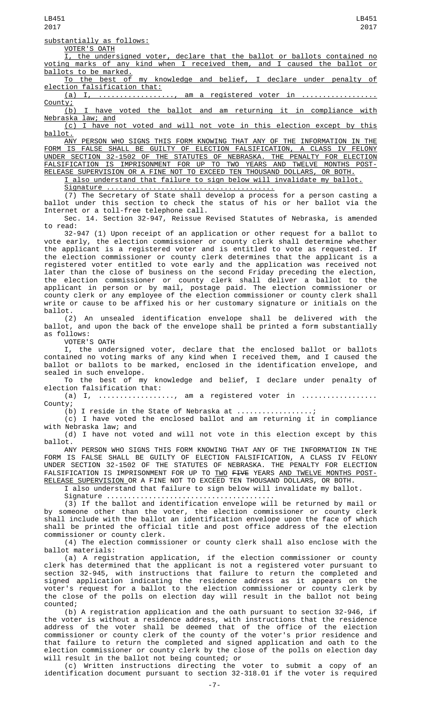substantially as follows:

VOTER'S OATH I, the undersigned voter, declare that the ballot or ballots contained no voting marks of any kind when I received them, and I caused the ballot or ballots to be marked.

To the best of my knowledge and belief, I declare under penalty of election falsification that:

 $(a)$  I, .................., am a registered voter in

County;<br>(b) I have voted the ballot and am returning it in compliance with <u>Nebraska law; and</u>

(c) I have not voted and will not vote in this election except by this ballot.

ANY PERSON WHO SIGNS THIS FORM KNOWING THAT ANY OF THE INFORMATION IN THE FORM IS FALSE SHALL BE GUILTY OF ELECTION FALSIFICATION, A CLASS IV FELONY UNDER SECTION 32-1502 OF THE STATUTES OF NEBRASKA. THE PENALTY FOR ELECTION FALSIFICATION IS IMPRISONMENT FOR UP TO TWO YEARS AND TWELVE MONTHS POST-RELEASE SUPERVISION OR A FINE NOT TO EXCEED TEN THOUSAND DOLLARS, OR BOTH.

I also understand that failure to sign below will invalidate my ballot.

Signature ........................................

(7) The Secretary of State shall develop a process for a person casting a ballot under this section to check the status of his or her ballot via the Internet or a toll-free telephone call.

Sec. 14. Section 32-947, Reissue Revised Statutes of Nebraska, is amended to read:

32-947 (1) Upon receipt of an application or other request for a ballot to vote early, the election commissioner or county clerk shall determine whether the applicant is a registered voter and is entitled to vote as requested. If the election commissioner or county clerk determines that the applicant is a registered voter entitled to vote early and the application was received not later than the close of business on the second Friday preceding the election, the election commissioner or county clerk shall deliver a ballot to the applicant in person or by mail, postage paid. The election commissioner or county clerk or any employee of the election commissioner or county clerk shall write or cause to be affixed his or her customary signature or initials on the ballot.

(2) An unsealed identification envelope shall be delivered with the ballot, and upon the back of the envelope shall be printed a form substantially as follows:

VOTER'S OATH

I, the undersigned voter, declare that the enclosed ballot or ballots contained no voting marks of any kind when I received them, and I caused the ballot or ballots to be marked, enclosed in the identification envelope, and sealed in such envelope.

To the best of my knowledge and belief, I declare under penalty of election falsification that:

(a) I,  $\dots\dots\dots\dots\dots\dots$ , am a registered voter in  $\dots\dots\dots\dots\dots\dots$ County;

(b) I reside in the State of Nebraska at .................;

(c) I have voted the enclosed ballot and am returning it in compliance with Nebraska law; and

(d) I have not voted and will not vote in this election except by this ballot.

ANY PERSON WHO SIGNS THIS FORM KNOWING THAT ANY OF THE INFORMATION IN THE FORM IS FALSE SHALL BE GUILTY OF ELECTION FALSIFICATION, A CLASS IV FELONY UNDER SECTION 32-1502 OF THE STATUTES OF NEBRASKA. THE PENALTY FOR ELECTION FALSIFICATION IS IMPRISONMENT FOR UP TO TWO FIVE YEARS AND TWELVE MONTHS POST-RELEASE SUPERVISION OR A FINE NOT TO EXCEED TEN THOUSAND DOLLARS, OR BOTH.

I also understand that failure to sign below will invalidate my ballot.

Signature ........................................

(3) If the ballot and identification envelope will be returned by mail or by someone other than the voter, the election commissioner or county clerk shall include with the ballot an identification envelope upon the face of which shall be printed the official title and post office address of the election commissioner or county clerk.

(4) The election commissioner or county clerk shall also enclose with the ballot materials:

(a) A registration application, if the election commissioner or county clerk has determined that the applicant is not a registered voter pursuant to section 32-945, with instructions that failure to return the completed and signed application indicating the residence address as it appears on the voter's request for a ballot to the election commissioner or county clerk by the close of the polls on election day will result in the ballot not being counted;

(b) A registration application and the oath pursuant to section 32-946, if the voter is without a residence address, with instructions that the residence address of the voter shall be deemed that of the office of the election commissioner or county clerk of the county of the voter's prior residence and that failure to return the completed and signed application and oath to the election commissioner or county clerk by the close of the polls on election day will result in the ballot not being counted; or

(c) Written instructions directing the voter to submit a copy of an identification document pursuant to section 32-318.01 if the voter is required